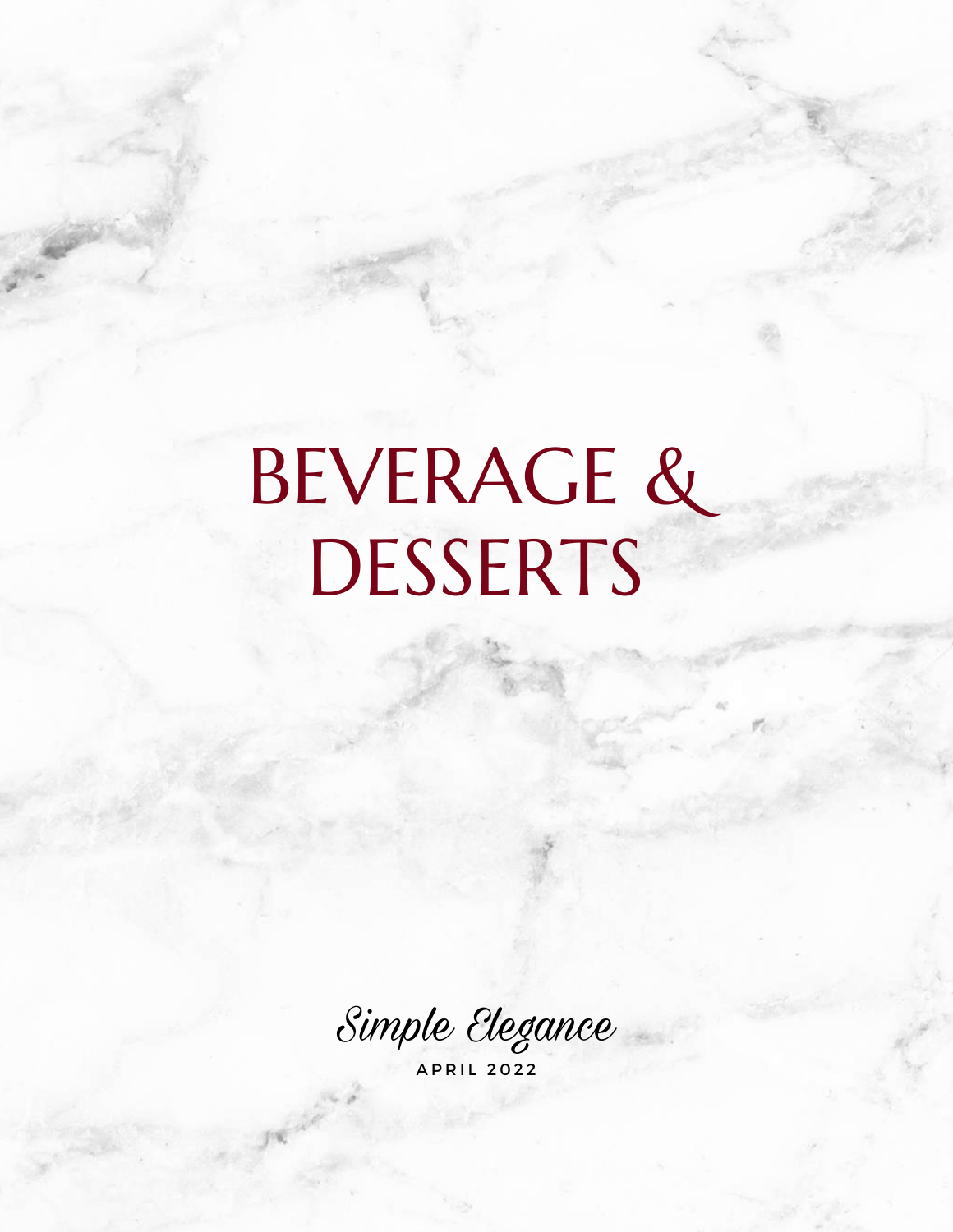# BEVERAGE & DESSERTS

Simple Elegance

A P R I L 2 0 2 2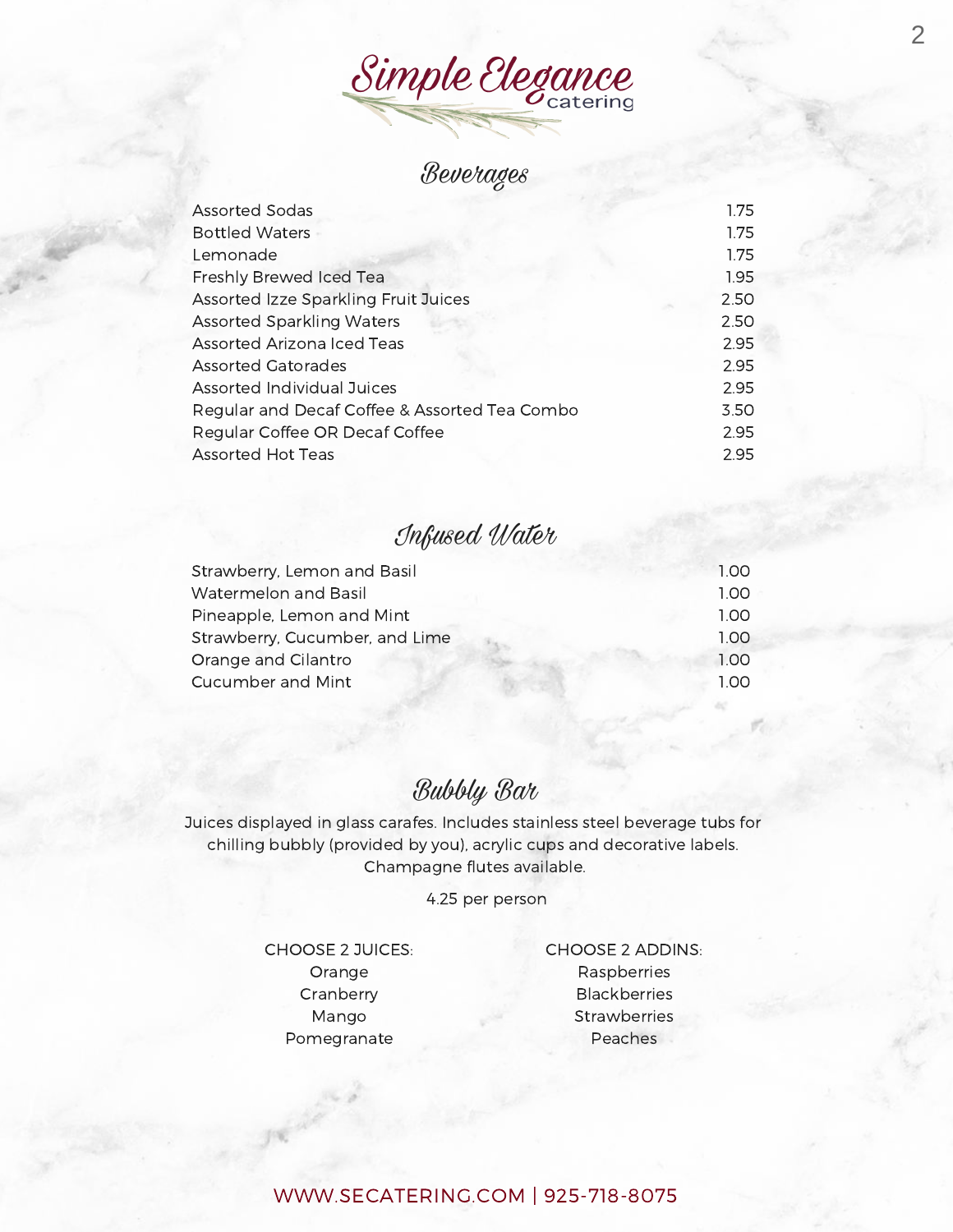Simple Elegance

## Beverages

| <b>Assorted Sodas</b>                         | 1.75 |
|-----------------------------------------------|------|
| <b>Bottled Waters</b>                         | 1.75 |
| Lemonade                                      | 1.75 |
| Freshly Brewed Iced Tea                       | 1.95 |
| <b>Assorted Izze Sparkling Fruit Juices</b>   | 2.50 |
| <b>Assorted Sparkling Waters</b>              | 2.50 |
| <b>Assorted Arizona Iced Teas</b>             | 2.95 |
| <b>Assorted Gatorades</b>                     | 2.95 |
| <b>Assorted Individual Juices</b>             | 2.95 |
| Regular and Decaf Coffee & Assorted Tea Combo | 3.50 |
| Regular Coffee OR Decaf Coffee                | 2.95 |
| <b>Assorted Hot Teas</b>                      | 2.95 |

## Infused Water

| Strawberry, Lemon and Basil    | 1.00 |
|--------------------------------|------|
| <b>Watermelon and Basil</b>    | 1.00 |
| Pineapple, Lemon and Mint      | 1.00 |
| Strawberry, Cucumber, and Lime | 1.00 |
| Orange and Cilantro            | 1.00 |
| Cucumber and Mint              |      |

## Bubbly Bar

Juices displayed in glass carafes. Includes stainless steel beverage tubs for chilling bubbly (provided by you), acrylic cups and decorative labels. Champagne flutes available.

4.25 per person

CHOOSE 2 JUICES: Orange Cranberry Mango Pomegranate

CHOOSE 2 ADDINS: Raspberries Blackberries **Strawberries** Peaches